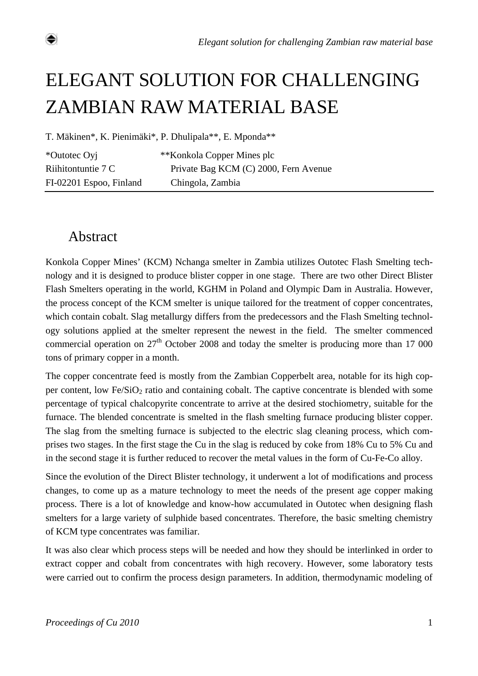# ELEGANT SOLUTION FOR CHALLENGING ZAMBIAN RAW MATERIAL BASE

T. Mäkinen\*, K. Pienimäki\*, P. Dhulipala\*\*, E. Mponda\*\*

\*Outotec Oyj \*\*Konkola Copper Mines plc Riihitontuntie 7 C Private Bag KCM (C) 2000, Fern Avenue FI-02201 Espoo, Finland Chingola, Zambia

# Abstract

⇔

Konkola Copper Mines' (KCM) Nchanga smelter in Zambia utilizes Outotec Flash Smelting technology and it is designed to produce blister copper in one stage. There are two other Direct Blister Flash Smelters operating in the world, KGHM in Poland and Olympic Dam in Australia. However, the process concept of the KCM smelter is unique tailored for the treatment of copper concentrates, which contain cobalt. Slag metallurgy differs from the predecessors and the Flash Smelting technology solutions applied at the smelter represent the newest in the field. The smelter commenced commercial operation on  $27<sup>th</sup>$  October 2008 and today the smelter is producing more than 17 000 tons of primary copper in a month.

The copper concentrate feed is mostly from the Zambian Copperbelt area, notable for its high copper content, low  $Fe/SiO<sub>2</sub>$  ratio and containing cobalt. The captive concentrate is blended with some percentage of typical chalcopyrite concentrate to arrive at the desired stochiometry, suitable for the furnace. The blended concentrate is smelted in the flash smelting furnace producing blister copper. The slag from the smelting furnace is subjected to the electric slag cleaning process, which comprises two stages. In the first stage the Cu in the slag is reduced by coke from 18% Cu to 5% Cu and in the second stage it is further reduced to recover the metal values in the form of Cu-Fe-Co alloy.

Since the evolution of the Direct Blister technology, it underwent a lot of modifications and process changes, to come up as a mature technology to meet the needs of the present age copper making process. There is a lot of knowledge and know-how accumulated in Outotec when designing flash smelters for a large variety of sulphide based concentrates. Therefore, the basic smelting chemistry of KCM type concentrates was familiar.

It was also clear which process steps will be needed and how they should be interlinked in order to extract copper and cobalt from concentrates with high recovery. However, some laboratory tests were carried out to confirm the process design parameters. In addition, thermodynamic modeling of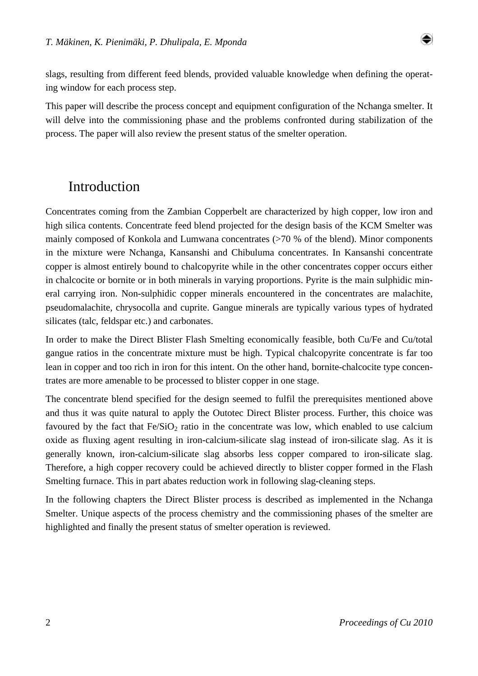

slags, resulting from different feed blends, provided valuable knowledge when defining the operating window for each process step.

This paper will describe the process concept and equipment configuration of the Nchanga smelter. It will delve into the commissioning phase and the problems confronted during stabilization of the process. The paper will also review the present status of the smelter operation.

## Introduction

Concentrates coming from the Zambian Copperbelt are characterized by high copper, low iron and high silica contents. Concentrate feed blend projected for the design basis of the KCM Smelter was mainly composed of Konkola and Lumwana concentrates (>70 % of the blend). Minor components in the mixture were Nchanga, Kansanshi and Chibuluma concentrates. In Kansanshi concentrate copper is almost entirely bound to chalcopyrite while in the other concentrates copper occurs either in chalcocite or bornite or in both minerals in varying proportions. Pyrite is the main sulphidic mineral carrying iron. Non-sulphidic copper minerals encountered in the concentrates are malachite, pseudomalachite, chrysocolla and cuprite. Gangue minerals are typically various types of hydrated silicates (talc, feldspar etc.) and carbonates.

In order to make the Direct Blister Flash Smelting economically feasible, both Cu/Fe and Cu/total gangue ratios in the concentrate mixture must be high. Typical chalcopyrite concentrate is far too lean in copper and too rich in iron for this intent. On the other hand, bornite-chalcocite type concentrates are more amenable to be processed to blister copper in one stage.

The concentrate blend specified for the design seemed to fulfil the prerequisites mentioned above and thus it was quite natural to apply the Outotec Direct Blister process. Further, this choice was favoured by the fact that  $Fe/SiO<sub>2</sub>$  ratio in the concentrate was low, which enabled to use calcium oxide as fluxing agent resulting in iron-calcium-silicate slag instead of iron-silicate slag. As it is generally known, iron-calcium-silicate slag absorbs less copper compared to iron-silicate slag. Therefore, a high copper recovery could be achieved directly to blister copper formed in the Flash Smelting furnace. This in part abates reduction work in following slag-cleaning steps.

In the following chapters the Direct Blister process is described as implemented in the Nchanga Smelter. Unique aspects of the process chemistry and the commissioning phases of the smelter are highlighted and finally the present status of smelter operation is reviewed.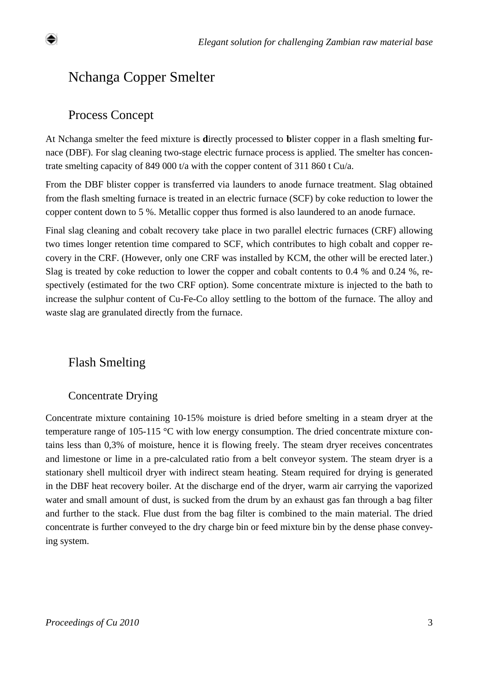# Nchanga Copper Smelter

#### Process Concept

At Nchanga smelter the feed mixture is **d**irectly processed to **b**lister copper in a flash smelting **f**urnace (DBF). For slag cleaning two-stage electric furnace process is applied. The smelter has concentrate smelting capacity of 849 000 t/a with the copper content of 311 860 t Cu/a.

From the DBF blister copper is transferred via launders to anode furnace treatment. Slag obtained from the flash smelting furnace is treated in an electric furnace (SCF) by coke reduction to lower the copper content down to 5 %. Metallic copper thus formed is also laundered to an anode furnace.

Final slag cleaning and cobalt recovery take place in two parallel electric furnaces (CRF) allowing two times longer retention time compared to SCF, which contributes to high cobalt and copper recovery in the CRF. (However, only one CRF was installed by KCM, the other will be erected later.) Slag is treated by coke reduction to lower the copper and cobalt contents to 0.4 % and 0.24 %, respectively (estimated for the two CRF option). Some concentrate mixture is injected to the bath to increase the sulphur content of Cu-Fe-Co alloy settling to the bottom of the furnace. The alloy and waste slag are granulated directly from the furnace.

#### Flash Smelting

#### Concentrate Drying

Concentrate mixture containing 10-15% moisture is dried before smelting in a steam dryer at the temperature range of 105-115 °C with low energy consumption. The dried concentrate mixture contains less than 0,3% of moisture, hence it is flowing freely. The steam dryer receives concentrates and limestone or lime in a pre-calculated ratio from a belt conveyor system. The steam dryer is a stationary shell multicoil dryer with indirect steam heating. Steam required for drying is generated in the DBF heat recovery boiler. At the discharge end of the dryer, warm air carrying the vaporized water and small amount of dust, is sucked from the drum by an exhaust gas fan through a bag filter and further to the stack. Flue dust from the bag filter is combined to the main material. The dried concentrate is further conveyed to the dry charge bin or feed mixture bin by the dense phase conveying system.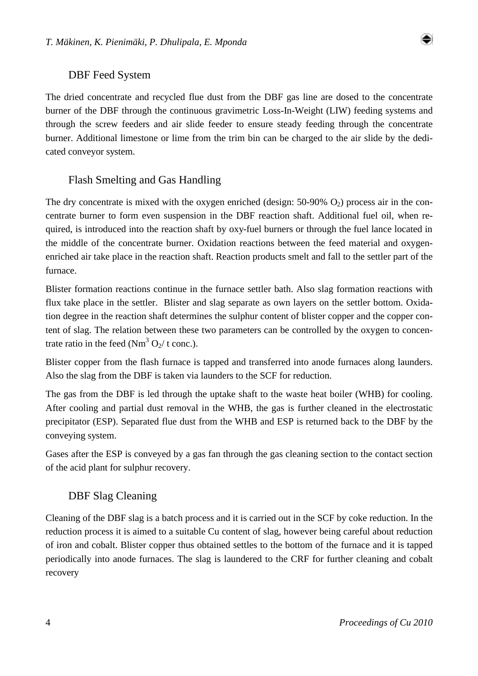

#### DBF Feed System

The dried concentrate and recycled flue dust from the DBF gas line are dosed to the concentrate burner of the DBF through the continuous gravimetric Loss-In-Weight (LIW) feeding systems and through the screw feeders and air slide feeder to ensure steady feeding through the concentrate burner. Additional limestone or lime from the trim bin can be charged to the air slide by the dedicated conveyor system.

#### Flash Smelting and Gas Handling

The dry concentrate is mixed with the oxygen enriched (design:  $50-90\%$  O<sub>2</sub>) process air in the concentrate burner to form even suspension in the DBF reaction shaft. Additional fuel oil, when required, is introduced into the reaction shaft by oxy-fuel burners or through the fuel lance located in the middle of the concentrate burner. Oxidation reactions between the feed material and oxygenenriched air take place in the reaction shaft. Reaction products smelt and fall to the settler part of the furnace.

Blister formation reactions continue in the furnace settler bath. Also slag formation reactions with flux take place in the settler. Blister and slag separate as own layers on the settler bottom. Oxidation degree in the reaction shaft determines the sulphur content of blister copper and the copper content of slag. The relation between these two parameters can be controlled by the oxygen to concentrate ratio in the feed  $(Nm^3 Q_2/t \text{ conc.})$ .

Blister copper from the flash furnace is tapped and transferred into anode furnaces along launders. Also the slag from the DBF is taken via launders to the SCF for reduction.

The gas from the DBF is led through the uptake shaft to the waste heat boiler (WHB) for cooling. After cooling and partial dust removal in the WHB, the gas is further cleaned in the electrostatic precipitator (ESP). Separated flue dust from the WHB and ESP is returned back to the DBF by the conveying system.

Gases after the ESP is conveyed by a gas fan through the gas cleaning section to the contact section of the acid plant for sulphur recovery.

#### DBF Slag Cleaning

Cleaning of the DBF slag is a batch process and it is carried out in the SCF by coke reduction. In the reduction process it is aimed to a suitable Cu content of slag, however being careful about reduction of iron and cobalt. Blister copper thus obtained settles to the bottom of the furnace and it is tapped periodically into anode furnaces. The slag is laundered to the CRF for further cleaning and cobalt recovery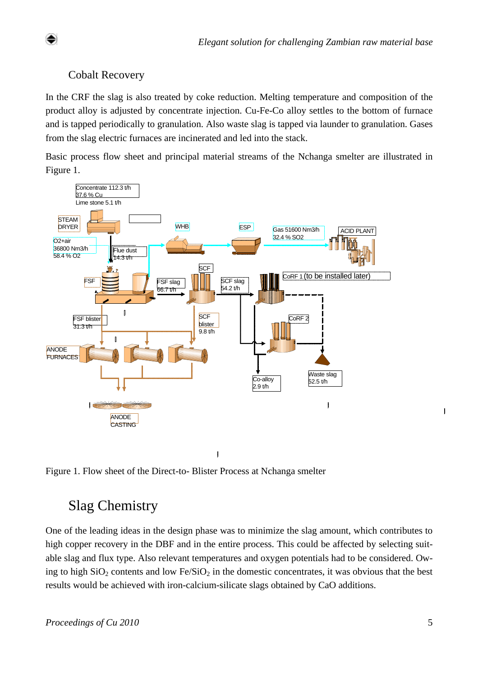#### Cobalt Recovery

In the CRF the slag is also treated by coke reduction. Melting temperature and composition of the product alloy is adjusted by concentrate injection. Cu-Fe-Co alloy settles to the bottom of furnace and is tapped periodically to granulation. Also waste slag is tapped via launder to granulation. Gases from the slag electric furnaces are incinerated and led into the stack.

Basic process flow sheet and principal material streams of the Nchanga smelter are illustrated in Figure 1.



 $\mathbf{I}$ 

Figure 1. Flow sheet of the Direct-to- Blister Process at Nchanga smelter

# Slag Chemistry

One of the leading ideas in the design phase was to minimize the slag amount, which contributes to high copper recovery in the DBF and in the entire process. This could be affected by selecting suitable slag and flux type. Also relevant temperatures and oxygen potentials had to be considered. Owing to high  $SiO_2$  contents and low Fe/ $SiO_2$  in the domestic concentrates, it was obvious that the best results would be achieved with iron-calcium-silicate slags obtained by CaO additions.

 $\begin{bmatrix} \end{bmatrix}$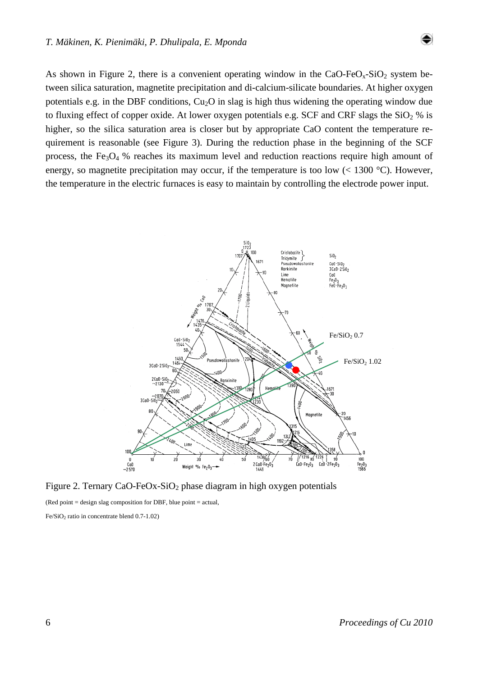As shown in Figure 2, there is a convenient operating window in the  $CaO-FeO<sub>x</sub>-SiO<sub>2</sub>$  system between silica saturation, magnetite precipitation and di-calcium-silicate boundaries. At higher oxygen potentials e.g. in the DBF conditions,  $Cu<sub>2</sub>O$  in slag is high thus widening the operating window due to fluxing effect of copper oxide. At lower oxygen potentials e.g. SCF and CRF slags the  $SiO<sub>2</sub>$ % is higher, so the silica saturation area is closer but by appropriate CaO content the temperature requirement is reasonable (see Figure 3). During the reduction phase in the beginning of the SCF process, the Fe<sub>3</sub>O<sub>4</sub> % reaches its maximum level and reduction reactions require high amount of energy, so magnetite precipitation may occur, if the temperature is too low  $(< 1300 °C)$ . However, the temperature in the electric furnaces is easy to maintain by controlling the electrode power input.



Figure 2. Ternary CaO-FeOx-SiO<sub>2</sub> phase diagram in high oxygen potentials

 $(Red point = design slag composition for DBF, blue point = actual,$ 

Fe/SiO<sub>2</sub> ratio in concentrate blend  $0.7-1.02$ )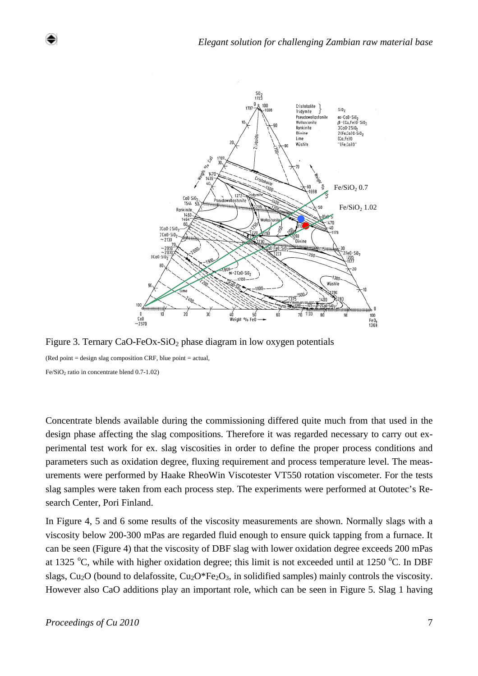

Figure 3. Ternary CaO-FeOx-SiO<sub>2</sub> phase diagram in low oxygen potentials

(Red point  $=$  design slag composition CRF, blue point  $=$  actual, Fe/SiO<sub>2</sub> ratio in concentrate blend  $0.7-1.02$ )

Concentrate blends available during the commissioning differed quite much from that used in the design phase affecting the slag compositions. Therefore it was regarded necessary to carry out experimental test work for ex. slag viscosities in order to define the proper process conditions and parameters such as oxidation degree, fluxing requirement and process temperature level. The measurements were performed by Haake RheoWin Viscotester VT550 rotation viscometer. For the tests slag samples were taken from each process step. The experiments were performed at Outotec's Research Center, Pori Finland.

In Figure 4, 5 and 6 some results of the viscosity measurements are shown. Normally slags with a viscosity below 200-300 mPas are regarded fluid enough to ensure quick tapping from a furnace. It can be seen (Figure 4) that the viscosity of DBF slag with lower oxidation degree exceeds 200 mPas at 1325  $\degree$ C, while with higher oxidation degree; this limit is not exceeded until at 1250  $\degree$ C. In DBF slags,  $Cu<sub>2</sub>O$  (bound to delafossite,  $Cu<sub>2</sub>O<sup>*</sup>Fe<sub>2</sub>O<sub>3</sub>$ , in solidified samples) mainly controls the viscosity. However also CaO additions play an important role, which can be seen in Figure 5. Slag 1 having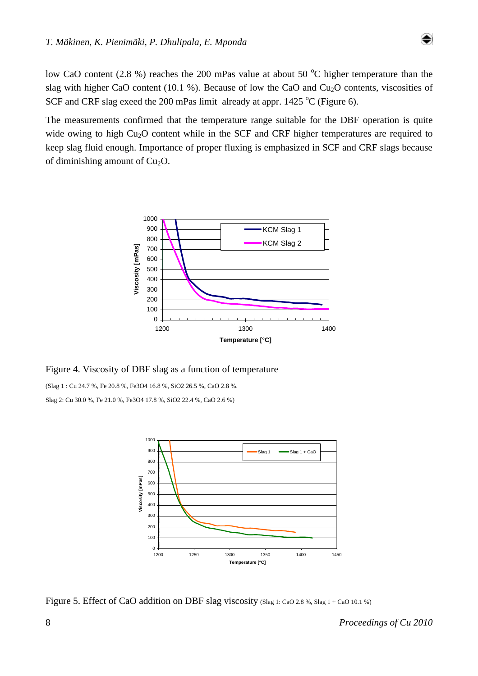low CaO content (2.8 %) reaches the 200 mPas value at about 50  $^{\circ}$ C higher temperature than the slag with higher CaO content (10.1 %). Because of low the CaO and Cu<sub>2</sub>O contents, viscosities of SCF and CRF slag exeed the 200 mPas limit already at appr.  $1425 \degree C$  (Figure 6).

The measurements confirmed that the temperature range suitable for the DBF operation is quite wide owing to high Cu<sub>2</sub>O content while in the SCF and CRF higher temperatures are required to keep slag fluid enough. Importance of proper fluxing is emphasized in SCF and CRF slags because of diminishing amount of  $Cu<sub>2</sub>O$ .



Figure 4. Viscosity of DBF slag as a function of temperature

(Slag 1 : Cu 24.7 %, Fe 20.8 %, Fe3O4 16.8 %, SiO2 26.5 %, CaO 2.8 %. Slag 2: Cu 30.0 %, Fe 21.0 %, Fe3O4 17.8 %, SiO2 22.4 %, CaO 2.6 %)



Figure 5. Effect of CaO addition on DBF slag viscosity (Slag 1: CaO 2.8 %, Slag 1 + CaO 10.1 %)

۰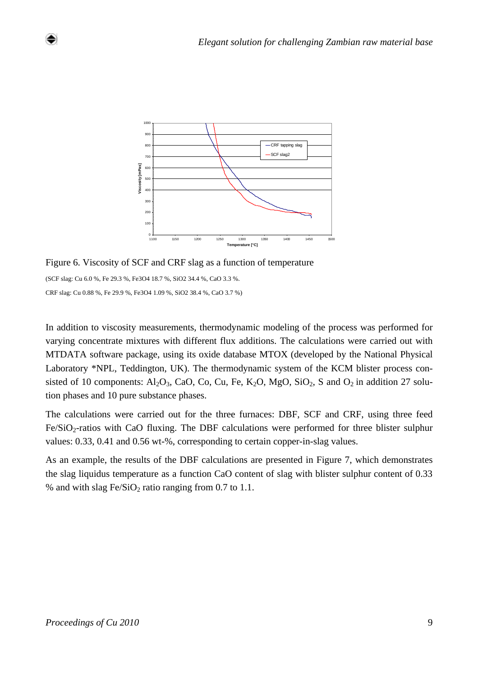

Figure 6. Viscosity of SCF and CRF slag as a function of temperature

(SCF slag: Cu 6.0 %, Fe 29.3 %, Fe3O4 18.7 %, SiO2 34.4 %, CaO 3.3 %. CRF slag: Cu 0.88 %, Fe 29.9 %, Fe3O4 1.09 %, SiO2 38.4 %, CaO 3.7 %)

In addition to viscosity measurements, thermodynamic modeling of the process was performed for varying concentrate mixtures with different flux additions. The calculations were carried out with MTDATA software package, using its oxide database MTOX (developed by the National Physical Laboratory \*NPL, Teddington, UK). The thermodynamic system of the KCM blister process consisted of 10 components:  $Al_2O_3$ , CaO, Co, Cu, Fe, K<sub>2</sub>O, MgO, SiO<sub>2</sub>, S and  $O_2$  in addition 27 solution phases and 10 pure substance phases.

The calculations were carried out for the three furnaces: DBF, SCF and CRF, using three feed  $Fe/SiO<sub>2</sub>$ -ratios with CaO fluxing. The DBF calculations were performed for three blister sulphur values: 0.33, 0.41 and 0.56 wt-%, corresponding to certain copper-in-slag values.

As an example, the results of the DBF calculations are presented in Figure 7, which demonstrates the slag liquidus temperature as a function CaO content of slag with blister sulphur content of 0.33 % and with slag  $Fe/SiO<sub>2</sub>$  ratio ranging from 0.7 to 1.1.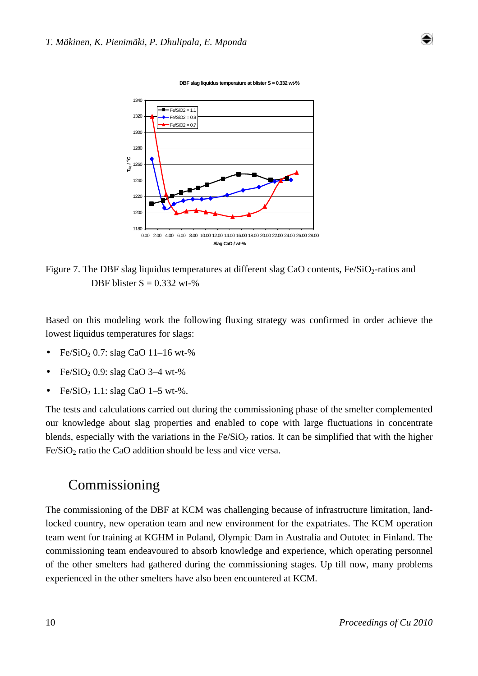

**DBF slag liquidus temperature at blister S = 0.332 wt-%**

Figure 7. The DBF slag liquidus temperatures at different slag CaO contents,  $Fe/SiO<sub>2</sub>$ -ratios and DBF blister  $S = 0.332$  wt-%

Based on this modeling work the following fluxing strategy was confirmed in order achieve the lowest liquidus temperatures for slags:

- $Fe/SiO<sub>2</sub> 0.7:$  slag CaO 11–16 wt-%
- $Fe/SiO<sub>2</sub> 0.9:$  slag CaO 3–4 wt-%
- Fe/SiO<sub>2</sub> 1.1: slag CaO 1–5 wt-%.

The tests and calculations carried out during the commissioning phase of the smelter complemented our knowledge about slag properties and enabled to cope with large fluctuations in concentrate blends, especially with the variations in the  $Fe/SiO<sub>2</sub>$  ratios. It can be simplified that with the higher  $Fe/SiO<sub>2</sub>$  ratio the CaO addition should be less and vice versa.

### Commissioning

The commissioning of the DBF at KCM was challenging because of infrastructure limitation, landlocked country, new operation team and new environment for the expatriates. The KCM operation team went for training at KGHM in Poland, Olympic Dam in Australia and Outotec in Finland. The commissioning team endeavoured to absorb knowledge and experience, which operating personnel of the other smelters had gathered during the commissioning stages. Up till now, many problems experienced in the other smelters have also been encountered at KCM.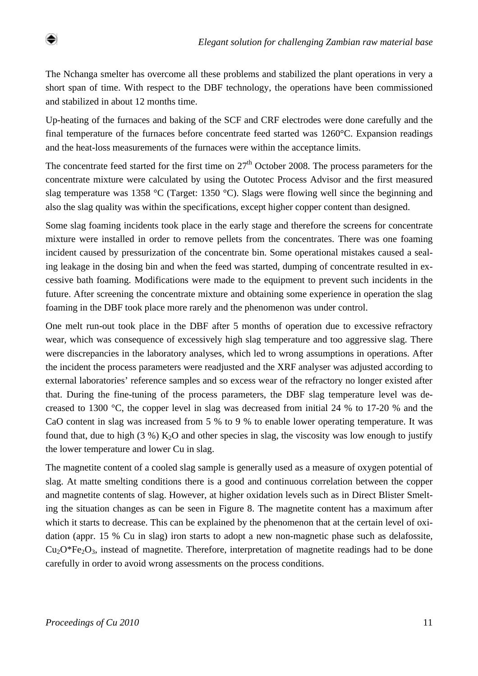The Nchanga smelter has overcome all these problems and stabilized the plant operations in very a short span of time. With respect to the DBF technology, the operations have been commissioned and stabilized in about 12 months time.

Up-heating of the furnaces and baking of the SCF and CRF electrodes were done carefully and the final temperature of the furnaces before concentrate feed started was 1260°C. Expansion readings and the heat-loss measurements of the furnaces were within the acceptance limits.

The concentrate feed started for the first time on  $27<sup>th</sup>$  October 2008. The process parameters for the concentrate mixture were calculated by using the Outotec Process Advisor and the first measured slag temperature was 1358 °C (Target: 1350 °C). Slags were flowing well since the beginning and also the slag quality was within the specifications, except higher copper content than designed.

Some slag foaming incidents took place in the early stage and therefore the screens for concentrate mixture were installed in order to remove pellets from the concentrates. There was one foaming incident caused by pressurization of the concentrate bin. Some operational mistakes caused a sealing leakage in the dosing bin and when the feed was started, dumping of concentrate resulted in excessive bath foaming. Modifications were made to the equipment to prevent such incidents in the future. After screening the concentrate mixture and obtaining some experience in operation the slag foaming in the DBF took place more rarely and the phenomenon was under control.

One melt run-out took place in the DBF after 5 months of operation due to excessive refractory wear, which was consequence of excessively high slag temperature and too aggressive slag. There were discrepancies in the laboratory analyses, which led to wrong assumptions in operations. After the incident the process parameters were readjusted and the XRF analyser was adjusted according to external laboratories' reference samples and so excess wear of the refractory no longer existed after that. During the fine-tuning of the process parameters, the DBF slag temperature level was decreased to 1300 °C, the copper level in slag was decreased from initial 24 % to 17-20 % and the CaO content in slag was increased from 5 % to 9 % to enable lower operating temperature. It was found that, due to high (3 %)  $K_2O$  and other species in slag, the viscosity was low enough to justify the lower temperature and lower Cu in slag.

The magnetite content of a cooled slag sample is generally used as a measure of oxygen potential of slag. At matte smelting conditions there is a good and continuous correlation between the copper and magnetite contents of slag. However, at higher oxidation levels such as in Direct Blister Smelting the situation changes as can be seen in Figure 8. The magnetite content has a maximum after which it starts to decrease. This can be explained by the phenomenon that at the certain level of oxidation (appr. 15 % Cu in slag) iron starts to adopt a new non-magnetic phase such as delafossite,  $Cu<sub>2</sub>O<sup>*</sup>Fe<sub>2</sub>O<sub>3</sub>$ , instead of magnetite. Therefore, interpretation of magnetite readings had to be done carefully in order to avoid wrong assessments on the process conditions.

۰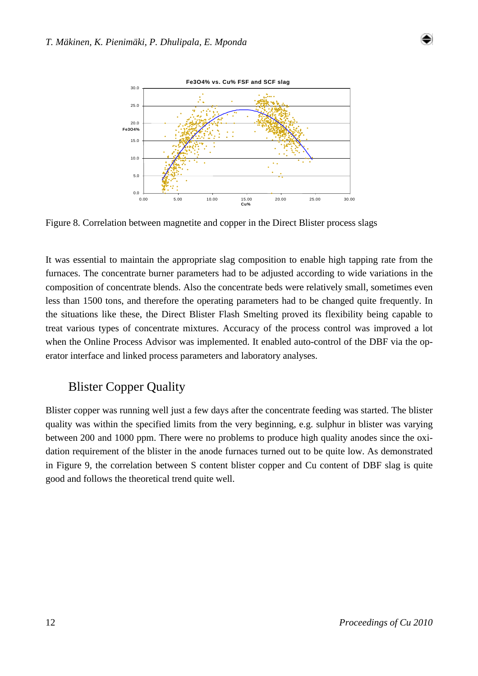



Figure 8. Correlation between magnetite and copper in the Direct Blister process slags

It was essential to maintain the appropriate slag composition to enable high tapping rate from the furnaces. The concentrate burner parameters had to be adjusted according to wide variations in the composition of concentrate blends. Also the concentrate beds were relatively small, sometimes even less than 1500 tons, and therefore the operating parameters had to be changed quite frequently. In the situations like these, the Direct Blister Flash Smelting proved its flexibility being capable to treat various types of concentrate mixtures. Accuracy of the process control was improved a lot when the Online Process Advisor was implemented. It enabled auto-control of the DBF via the operator interface and linked process parameters and laboratory analyses.

### Blister Copper Quality

Blister copper was running well just a few days after the concentrate feeding was started. The blister quality was within the specified limits from the very beginning, e.g. sulphur in blister was varying between 200 and 1000 ppm. There were no problems to produce high quality anodes since the oxidation requirement of the blister in the anode furnaces turned out to be quite low. As demonstrated in Figure 9, the correlation between S content blister copper and Cu content of DBF slag is quite good and follows the theoretical trend quite well.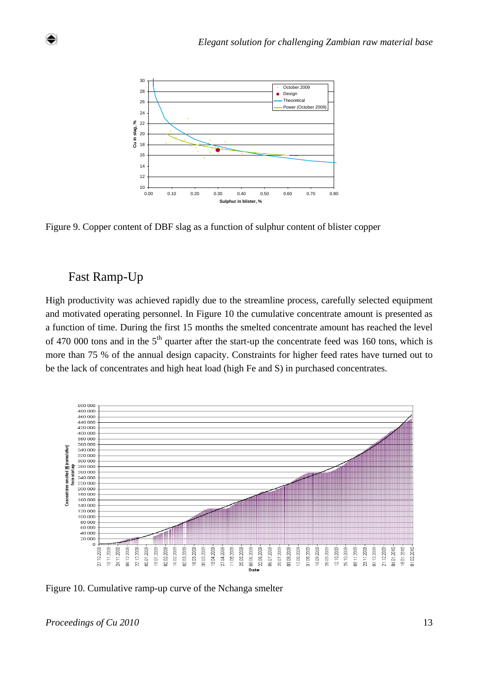

Figure 9. Copper content of DBF slag as a function of sulphur content of blister copper

#### Fast Ramp-Up

High productivity was achieved rapidly due to the streamline process, carefully selected equipment and motivated operating personnel. In Figure 10 the cumulative concentrate amount is presented as a function of time. During the first 15 months the smelted concentrate amount has reached the level of 470 000 tons and in the  $5<sup>th</sup>$  quarter after the start-up the concentrate feed was 160 tons, which is more than 75 % of the annual design capacity. Constraints for higher feed rates have turned out to be the lack of concentrates and high heat load (high Fe and S) in purchased concentrates.



Figure 10. Cumulative ramp-up curve of the Nchanga smelter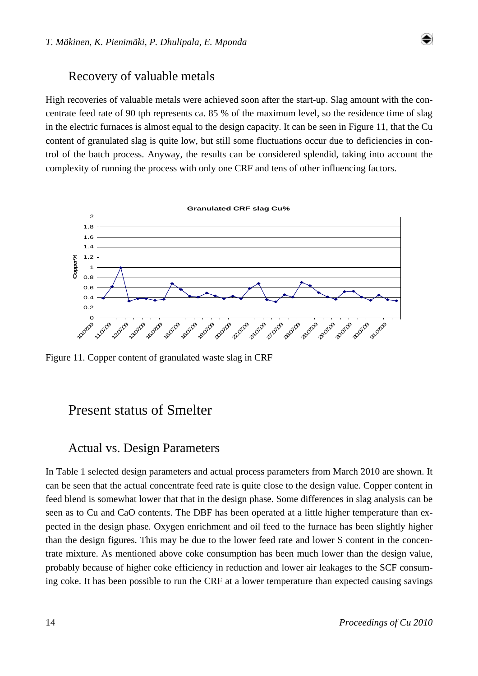#### Recovery of valuable metals

High recoveries of valuable metals were achieved soon after the start-up. Slag amount with the concentrate feed rate of 90 tph represents ca. 85 % of the maximum level, so the residence time of slag in the electric furnaces is almost equal to the design capacity. It can be seen in Figure 11, that the Cu content of granulated slag is quite low, but still some fluctuations occur due to deficiencies in control of the batch process. Anyway, the results can be considered splendid, taking into account the complexity of running the process with only one CRF and tens of other influencing factors.



Figure 11. Copper content of granulated waste slag in CRF

### Present status of Smelter

#### Actual vs. Design Parameters

In Table 1 selected design parameters and actual process parameters from March 2010 are shown. It can be seen that the actual concentrate feed rate is quite close to the design value. Copper content in feed blend is somewhat lower that that in the design phase. Some differences in slag analysis can be seen as to Cu and CaO contents. The DBF has been operated at a little higher temperature than expected in the design phase. Oxygen enrichment and oil feed to the furnace has been slightly higher than the design figures. This may be due to the lower feed rate and lower S content in the concentrate mixture. As mentioned above coke consumption has been much lower than the design value, probably because of higher coke efficiency in reduction and lower air leakages to the SCF consuming coke. It has been possible to run the CRF at a lower temperature than expected causing savings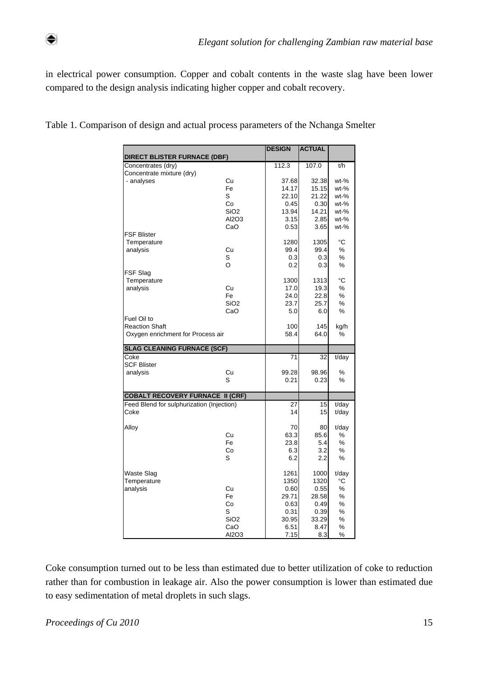⇔

in electrical power consumption. Copper and cobalt contents in the waste slag have been lower compared to the design analysis indicating higher copper and cobalt recovery.

|                                                                                      |                  | <b>DESIGN</b>   | <b>ACTUAL</b> |          |
|--------------------------------------------------------------------------------------|------------------|-----------------|---------------|----------|
| <b>DIRECT BLISTER FURNACE (DBF)</b>                                                  |                  |                 |               |          |
| Concentrates (dry)                                                                   |                  | 112.3           | 107.0         | t/h      |
| Concentrate mixture (dry)                                                            |                  |                 |               |          |
| - analyses                                                                           | Cu               | 37.68           | 32.38         | $wt-%$   |
|                                                                                      | Fe               | 14.17           | 15.15         | $wt-%$   |
|                                                                                      | S                | 22.10           | 21.22         | $wt-%$   |
|                                                                                      | Co               | 0.45            | 0.30          | $wt-%$   |
|                                                                                      | SiO <sub>2</sub> | 13.94           | 14.21         | $wt-%$   |
|                                                                                      | AI2O3            | 3.15            | 2.85          | $wt-%$   |
|                                                                                      | CaO              | 0.53            | 3.65          | $wt-%$   |
| <b>FSF Blister</b>                                                                   |                  |                 |               |          |
| Temperature                                                                          |                  | 1280            | 1305          | °C       |
| analysis                                                                             | Cu               | 99.4            | 99.4          | %        |
|                                                                                      | S                | 0.3             | 0.3           | %        |
|                                                                                      | $\Omega$         | 0.2             | 0.3           | %        |
| FSF Slag                                                                             |                  |                 |               |          |
| Temperature                                                                          |                  | 1300            | 1313          | °C       |
| analysis                                                                             | Cu               | 17.0            | 19.3          | ℅        |
|                                                                                      | Fe               | 24.0            | 22.8          | %        |
|                                                                                      | SiO <sub>2</sub> | 23.7            | 25.7          | ℅        |
|                                                                                      |                  |                 |               |          |
|                                                                                      | CaO              | 5.0             | 6.0           | %        |
| Fuel Oil to                                                                          |                  |                 |               |          |
| <b>Reaction Shaft</b>                                                                |                  | 100             | 145           | kg/h     |
| Oxygen enrichment for Process air                                                    |                  | 58.4            | 64.0          | %        |
| <b>SLAG CLEANING FURNACE (SCF)</b>                                                   |                  |                 |               |          |
| Coke                                                                                 |                  | $\overline{71}$ | 32            | $t$ /day |
| <b>SCF Blister</b>                                                                   |                  |                 |               |          |
| analysis                                                                             | Cu               | 99.28           | 98.96         | ℅        |
|                                                                                      | S                | 0.21            | 0.23          | ℅        |
|                                                                                      |                  |                 |               |          |
| <b>COBALT RECOVERY FURNACE II (CRF)</b><br>Feed Blend for sulphurization (Injection) |                  | 27              | 15            | t/day    |
| Coke                                                                                 |                  | 14              | 15            | t/day    |
| Alloy                                                                                |                  |                 |               |          |
|                                                                                      |                  | 70              | 80            | t/day    |
|                                                                                      | Cu               | 63.3            | 85.6          | ℅        |
|                                                                                      | Fe               | 23.8            | 5.4           | $\%$     |
|                                                                                      | Co               | 6.3             | 3.2           | %        |
|                                                                                      | S                | 6.2             | 2.2           | %        |
| Waste Slag                                                                           |                  | 1261            | 1000          | t/day    |
| Temperature                                                                          |                  | 1350            | 1320          | °C       |
|                                                                                      |                  |                 |               |          |
| analysis                                                                             | Cu               | 0.60            | 0.55          | %        |
|                                                                                      | Fe               | 29.71           | 28.58         | %        |
|                                                                                      | Co               | 0.63            | 0.49          | %        |
|                                                                                      | S                | 0.31            | 0.39          | %        |
|                                                                                      | SiO <sub>2</sub> | 30.95           | 33.29         | %        |
|                                                                                      | CaO              | 6.51            | 8.47          | $\%$     |
|                                                                                      | AI2O3            | 7.15            | 8.3           | %        |

Table 1. Comparison of design and actual process parameters of the Nchanga Smelter

Coke consumption turned out to be less than estimated due to better utilization of coke to reduction rather than for combustion in leakage air. Also the power consumption is lower than estimated due to easy sedimentation of metal droplets in such slags.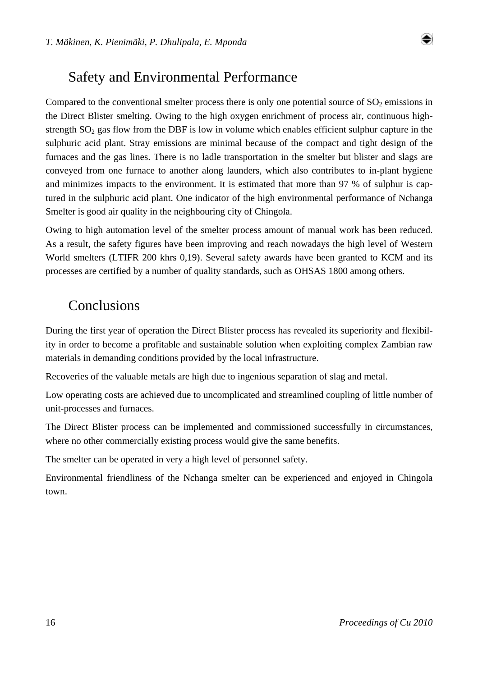# Safety and Environmental Performance

Compared to the conventional smelter process there is only one potential source of  $SO<sub>2</sub>$  emissions in the Direct Blister smelting. Owing to the high oxygen enrichment of process air, continuous highstrength  $SO<sub>2</sub>$  gas flow from the DBF is low in volume which enables efficient sulphur capture in the sulphuric acid plant. Stray emissions are minimal because of the compact and tight design of the furnaces and the gas lines. There is no ladle transportation in the smelter but blister and slags are conveyed from one furnace to another along launders, which also contributes to in-plant hygiene and minimizes impacts to the environment. It is estimated that more than 97 % of sulphur is captured in the sulphuric acid plant. One indicator of the high environmental performance of Nchanga Smelter is good air quality in the neighbouring city of Chingola.

Owing to high automation level of the smelter process amount of manual work has been reduced. As a result, the safety figures have been improving and reach nowadays the high level of Western World smelters (LTIFR 200 khrs 0,19). Several safety awards have been granted to KCM and its processes are certified by a number of quality standards, such as OHSAS 1800 among others.

# Conclusions

During the first year of operation the Direct Blister process has revealed its superiority and flexibility in order to become a profitable and sustainable solution when exploiting complex Zambian raw materials in demanding conditions provided by the local infrastructure.

Recoveries of the valuable metals are high due to ingenious separation of slag and metal.

Low operating costs are achieved due to uncomplicated and streamlined coupling of little number of unit-processes and furnaces.

The Direct Blister process can be implemented and commissioned successfully in circumstances, where no other commercially existing process would give the same benefits.

The smelter can be operated in very a high level of personnel safety.

Environmental friendliness of the Nchanga smelter can be experienced and enjoyed in Chingola town.